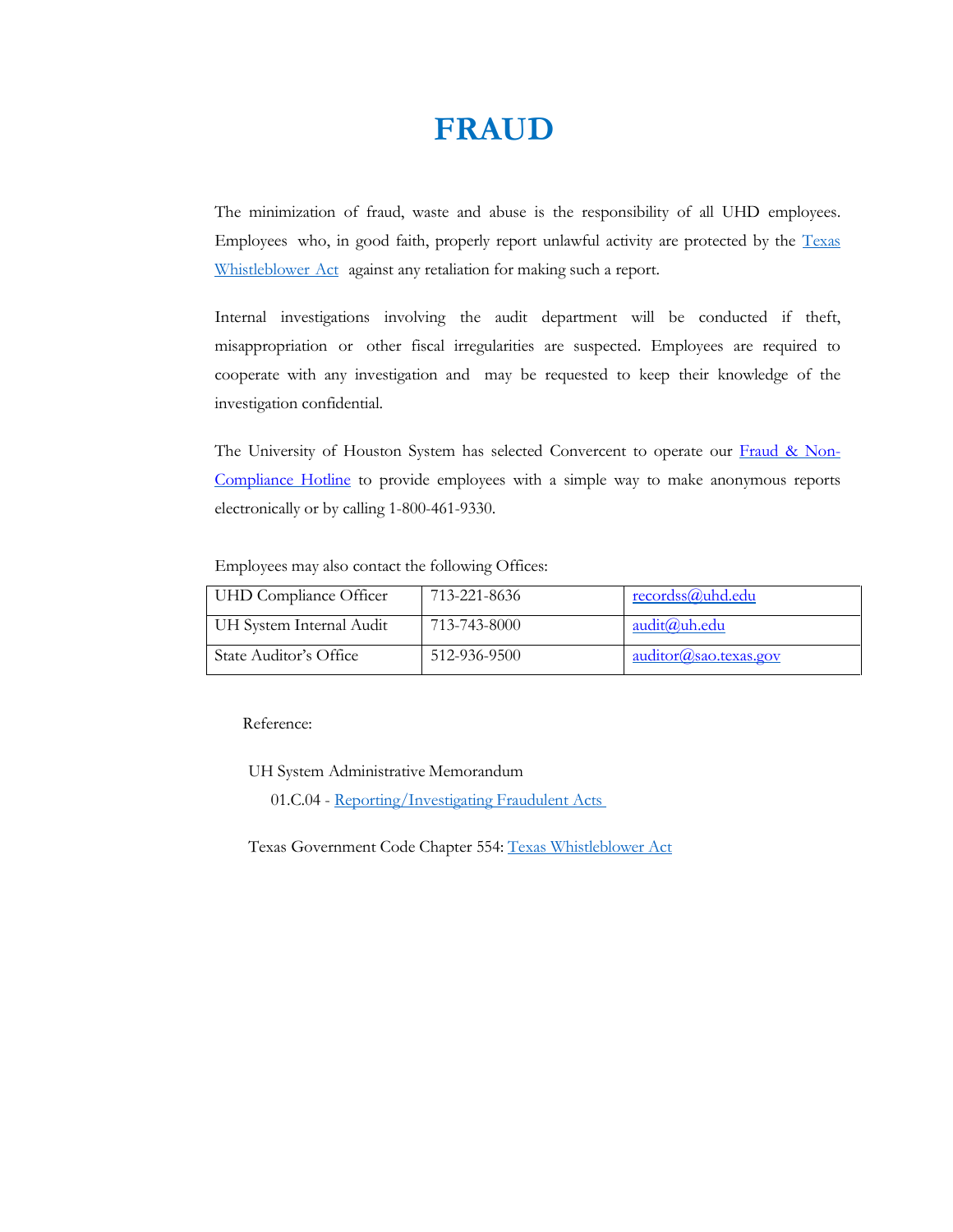## **FRAUD**

The minimization of fraud, waste and abuse is the responsibility of all UHD employees. Employees who, in good faith, properly report unlawful activity are protected by the [Texas](http://www.statutes.legis.state.tx.us/Docs/GV/htm/GV.554.htm) [Whistleblower](http://www.statutes.legis.state.tx.us/Docs/GV/htm/GV.554.htm) Act against any retaliation for making such a report.

Internal investigations involving the audit department will be conducted if theft, misappropriation or other fiscal irregularities are suspected. Employees are required to cooperate with any investigation and may be requested to keep their knowledge of the investigation confidential.

The University of Houston System has selected Convercent to operate our [Fraud & Non-](https://app.convercent.com/en-us/LandingPage/b3d1c670-e06c-e711-80cf-000d3ab0d899)[Compliance Hotline](https://app.convercent.com/en-us/LandingPage/b3d1c670-e06c-e711-80cf-000d3ab0d899) to provide employees with a simple way to make anonymous reports electronically or by calling 1-800-461-9330.

Employees may also contact the following Offices:

| UHD Compliance Officer   | 713-221-8636 | recordss@uhd.edu           |
|--------------------------|--------------|----------------------------|
| UH System Internal Audit | 713-743-8000 | audit@uh.edu               |
| State Auditor's Office   | 512-936-9500 | $auditor(a)$ sao.texas.gov |

Reference:

UH System Administrative Memorandum

01.C.04 - [Reporting/Investigating Fraudulent](https://uhsystem.edu/compliance-ethics/_docs/sam/01/1c4.pdf) Acts

Texas Government Code Chapter 554: Texas [Whistleblower](http://www.statutes.legis.state.tx.us/Docs/GV/htm/GV.554.htm) Act